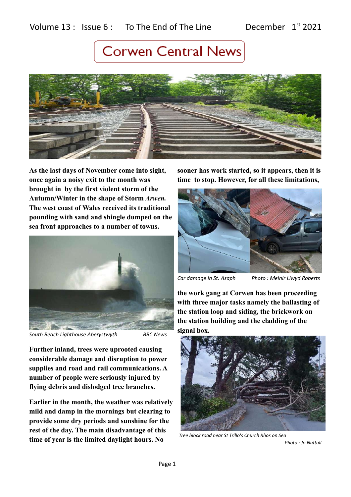

**As the last days of November come into sight, once again a noisy exit to the month was brought in by the first violent storm of the Autumn/Winter in the shape of Storm** *Arwen.* **The west coast of Wales received its traditional pounding with sand and shingle dumped on the sea front approaches to a number of towns.** 



*South Beach Lighthouse Aberystwyth BBC News*

**Further inland, trees were uprooted causing considerable damage and disruption to power supplies and road and rail communications. A number of people were seriously injured by flying debris and dislodged tree branches.**

**Earlier in the month, the weather was relatively mild and damp in the mornings but clearing to provide some dry periods and sunshine for the rest of the day. The main disadvantage of this time of year is the limited daylight hours. No** 

**sooner has work started, so it appears, then it is time to stop. However, for all these limitations,** 





*Car damage in St. Asaph Photo : Meinir Llwyd Roberts*

**the work gang at Corwen has been proceeding with three major tasks namely the ballasting of the station loop and siding, the brickwork on the station building and the cladding of the signal box.**



*Tree block road near St Trillo's Church Rhos on Sea* 

 *Photo : Jo Nuttall*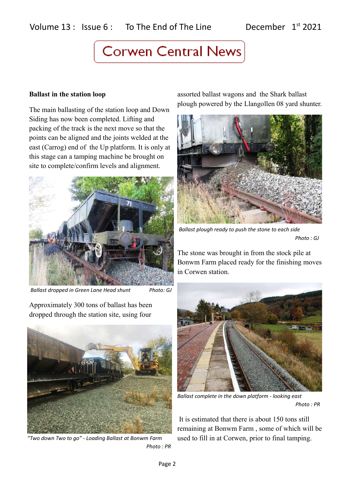#### **Ballast in the station loop**

The main ballasting of the station loop and Down Siding has now been completed. Lifting and packing of the track is the next move so that the points can be aligned and the joints welded at the east (Carrog) end of the Up platform. It is only at this stage can a tamping machine be brought on site to complete/confirm levels and alignment.



 *Ballast dropped in Green Lane Head shunt Photo: GJ*

Approximately 300 tons of ballast has been dropped through the station site, using four



*"Two down Two to go" - Loading Ballast at Bonwm Farm Photo : PR*

assorted ballast wagons and the Shark ballast plough powered by the Llangollen 08 yard shunter.



*Ballast plough ready to push the stone to each side Photo : GJ*

The stone was brought in from the stock pile at Bonwm Farm placed ready for the finishing moves in Corwen station.



*Ballast complete in the down platform - looking east Photo : PR*

 It is estimated that there is about 150 tons still remaining at Bonwm Farm , some of which will be used to fill in at Corwen, prior to final tamping.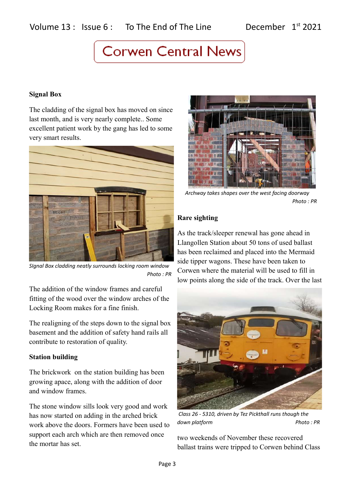### **Signal Box**

The cladding of the signal box has moved on since last month, and is very nearly complete.. Some excellent patient work by the gang has led to some very smart results.



*SIgnal Box cladding neatly surrounds locking room window Photo : PR*

The addition of the window frames and careful fitting of the wood over the window arches of the Locking Room makes for a fine finish.

The realigning of the steps down to the signal box basement and the addition of safety hand rails all contribute to restoration of quality.

### **Station building**

The brickwork on the station building has been growing apace, along with the addition of door and window frames.

The stone window sills look very good and work has now started on adding in the arched brick work above the doors. Formers have been used to support each arch which are then removed once the mortar has set.



*Archway takes shapes over the west facing doorway Photo : PR*

### **Rare sighting**

As the track/sleeper renewal has gone ahead in Llangollen Station about 50 tons of used ballast has been reclaimed and placed into the Mermaid side tipper wagons. These have been taken to Corwen where the material will be used to fill in low points along the side of the track. Over the last



 *Class 26 - 5310, driven by Tez Pickthall runs though the*  down platform extensive photo : PR

two weekends of November these recovered ballast trains were tripped to Corwen behind Class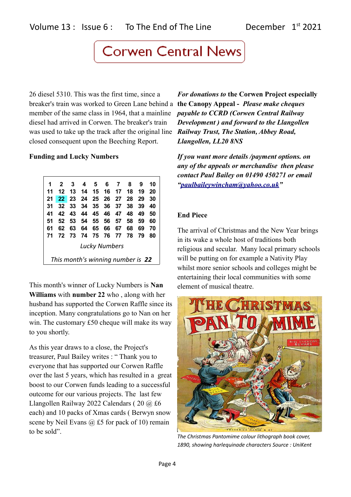26 diesel 5310. This was the first time, since a breaker's train was worked to Green Lane behind a **the Canopy Appeal -** *Please make cheques*  member of the same class in 1964, that a mainline diesel had arrived in Corwen. The breaker's train was used to take up the track after the original line *Railway Trust, The Station, Abbey Road,*  closed consequent upon the Beeching Report.

### **Funding and Lucky Numbers**

| 1                                 | $\overline{2}$  | 3          |       | 4 5 6 7 |    |                | 8   | 9  | 10 |
|-----------------------------------|-----------------|------------|-------|---------|----|----------------|-----|----|----|
| 11                                | 12              | -13        | - 14  |         |    | 15 16 17 18    |     | 19 | 20 |
| 21                                | 22 <sub>2</sub> | $\vert$ 23 |       |         |    | 24 25 26 27    | -28 | 29 | 30 |
| 31                                | 32              | - 33       |       |         |    | 34 35 36 37    | 38  | 39 | 40 |
| 41                                | 42              | - 43       |       |         |    | 44 45 46 47 48 |     | 49 | 50 |
| 51                                | 52              | - 53       |       |         |    | 54 55 56 57    | 58  | 59 | 60 |
| 61                                | 62              | 63         |       | 64 65   | 66 | 67             | 68  | 69 | 70 |
| 71                                | 72              | - 73       | 74 75 |         |    | 76 77 78       |     | 79 | 80 |
| <b>Lucky Numbers</b>              |                 |            |       |         |    |                |     |    |    |
| This month's winning number is 22 |                 |            |       |         |    |                |     |    |    |

This month's winner of Lucky Numbers is **Nan Williams** with **number 22** who , along with her husband has supported the Corwen Raffle since its inception. Many congratulations go to Nan on her win. The customary £50 cheque will make its way to you shortly.

As this year draws to a close, the Project's treasurer, Paul Bailey writes : " Thank you to everyone that has supported our Corwen Raffle over the last 5 years, which has resulted in a great boost to our Corwen funds leading to a successful outcome for our various projects. The last few Llangollen Railway 2022 Calendars ( 20 @ £6 each) and 10 packs of Xmas cards ( Berwyn snow scene by Neil Evans  $\omega$  £5 for pack of 10) remain to be sold".

*For donations to* **the Corwen Project especially**  *payable to CCRD (Corwen Central Railway Development ) and forward to the Llangollen Llangollen, LL20 8NS*

*If you want more details /payment options. on any of the appeals or merchandise then please contact Paul Bailey on 01490 450271 or email ["paulbaileywincham@yahoo.co.uk"](mailto:paulbaileywincham@yahoo.co.uk)*

### **End Piece**

The arrival of Christmas and the New Year brings in its wake a whole host of traditions both religious and secular. Many local primary schools will be putting on for example a Nativity Play whilst more senior schools and colleges might be entertaining their local communities with some element of musical theatre.



*The Christmas Pantomime colour lithograph book cover, 1890, showing harlequinade characters Source : UniKent*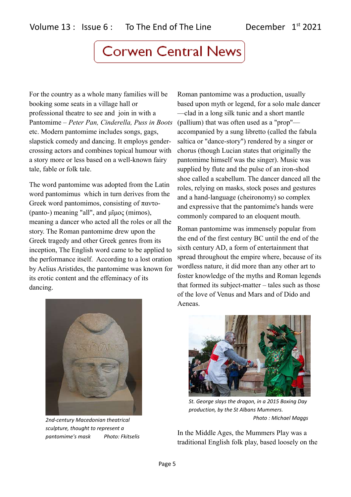For the country as a whole many families will be booking some seats in a village hall or professional theatre to see and join in with a Pantomime – *Peter Pan, Cinderella, Puss in Boots* etc. Modern pantomime includes songs, gags, slapstick comedy and dancing. It employs gendercrossing actors and combines topical humour with a story more or less based on a well-known fairy tale, fable or folk tale.

The word pantomime was adopted from the Latin word pantomimus which in turn derives from the Greek word pantomimos, consisting of παντο- (panto-) meaning "all", and μῖμος (mimos), meaning a dancer who acted all the roles or all the story. The Roman pantomime drew upon the Greek tragedy and other Greek genres from its inception, The English word came to be applied to the performance itself. According to a lost oration by Aelius Aristides, the pantomime was known for its erotic content and the effeminacy of its dancing.

Roman pantomime was a production, usually based upon myth or legend, for a solo male dancer —clad in a long silk tunic and a short mantle (pallium) that was often used as a "prop" accompanied by a sung libretto (called the fabula saltica or "dance-story") rendered by a singer or chorus (though Lucian states that originally the pantomime himself was the singer). Music was supplied by flute and the pulse of an iron-shod shoe called a scabellum. The dancer danced all the roles, relying on masks, stock poses and gestures and a hand-language (cheironomy) so complex and expressive that the pantomime's hands were commonly compared to an eloquent mouth.

Roman pantomime was immensely popular from the end of the first century BC until the end of the sixth century AD, a form of entertainment that spread throughout the empire where, because of its wordless nature, it did more than any other art to foster knowledge of the myths and Roman legends that formed its subject-matter – tales such as those of the love of Venus and Mars and of Dido and Aeneas.



*2nd-century Macedonian theatrical sculpture, thought to represent a pantomime's mask Photo: Fkitselis*



*St. George slays the dragon, in a 2015 Boxing Day production, by the St Albans Mummers. Photo : Michael Maggs*

In the Middle Ages, the Mummers Play was a traditional English folk play, based loosely on the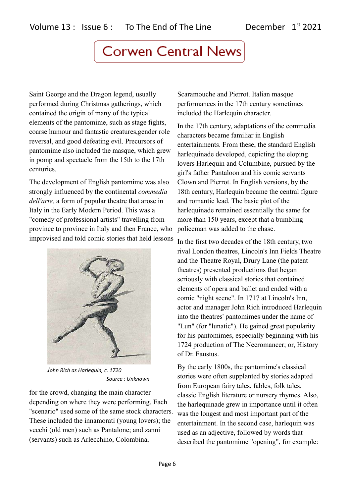Saint George and the Dragon legend, usually performed during Christmas gatherings, which contained the origin of many of the typical elements of the pantomime, such as stage fights, coarse humour and fantastic creatures,gender role reversal, and good defeating evil. Precursors of pantomime also included the masque, which grew in pomp and spectacle from the 15th to the 17th centuries.

The development of English pantomime was also strongly influenced by the continental *commedia dell'arte,* a form of popular theatre that arose in Italy in the Early Modern Period. This was a "comedy of professional artists" travelling from province to province in Italy and then France, who improvised and told comic stories that held lessons



*John Rich as Harlequin, c. 1720 Source : Unknown*

for the crowd, changing the main character depending on where they were performing. Each "scenario" used some of the same stock characters. These included the innamorati (young lovers); the vecchi (old men) such as Pantalone; and zanni (servants) such as Arlecchino, Colombina,

Scaramouche and Pierrot. Italian masque performances in the 17th century sometimes included the Harlequin character.

In the 17th century, adaptations of the commedia characters became familiar in English entertainments. From these, the standard English harlequinade developed, depicting the eloping lovers Harlequin and Columbine, pursued by the girl's father Pantaloon and his comic servants Clown and Pierrot. In English versions, by the 18th century, Harlequin became the central figure and romantic lead. The basic plot of the harlequinade remained essentially the same for more than 150 years, except that a bumbling policeman was added to the chase.

In the first two decades of the 18th century, two rival London theatres, Lincoln's Inn Fields Theatre and the Theatre Royal, Drury Lane (the patent theatres) presented productions that began seriously with classical stories that contained elements of opera and ballet and ended with a comic "night scene". In 1717 at Lincoln's Inn, actor and manager John Rich introduced Harlequin into the theatres' pantomimes under the name of "Lun" (for "lunatic"). He gained great popularity for his pantomimes, especially beginning with his 1724 production of The Necromancer; or, History of Dr. Faustus.

By the early 1800s, the pantomime's classical stories were often supplanted by stories adapted from European fairy tales, fables, folk tales, classic English literature or nursery rhymes. Also, the harlequinade grew in importance until it often was the longest and most important part of the entertainment. In the second case, harlequin was used as an adjective, followed by words that described the pantomime "opening", for example: